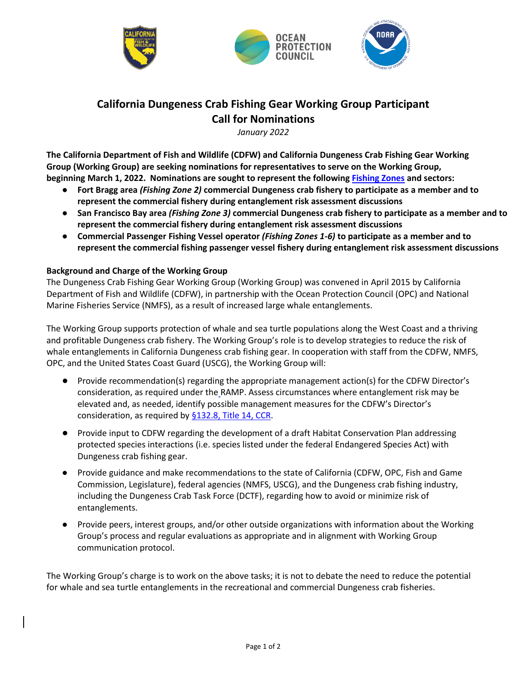





# **California Dungeness Crab Fishing Gear Working Group Participant Call for Nominations**

*January 2022*

**The California Department of Fish and Wildlife (CDFW) and California Dungeness Crab Fishing Gear Working Group (Working Group) are seeking nominations for representatives to serve on the Working Group, beginning March 1, 2022. Nominations are sought to represent the following [Fishing Zones](https://wildlife.ca.gov/Portals/0/Images/marine/WSF/Final_RAMP_color_NoZone7_082421.jpg) and sectors:** 

- **Fort Bragg area** *(Fishing Zone 2)* **commercial Dungeness crab fishery to participate as a member and to represent the commercial fishery during entanglement risk assessment discussions**
- **San Francisco Bay area** *(Fishing Zone 3)* **commercial Dungeness crab fishery to participate as a member and to represent the commercial fishery during entanglement risk assessment discussions**
- **Commercial Passenger Fishing Vessel operator** *(Fishing Zones 1-6)* **to participate as a member and to represent the commercial fishing passenger vessel fishery during entanglement risk assessment discussions**

# **Background and Charge of the Working Group**

The Dungeness Crab Fishing Gear Working Group (Working Group) was convened in April 2015 by California Department of Fish and Wildlife (CDFW), in partnership with the Ocean Protection Council (OPC) and National Marine Fisheries Service (NMFS), as a result of increased large whale entanglements.

The Working Group supports protection of whale and sea turtle populations along the West Coast and a thriving and profitable Dungeness crab fishery. The Working Group's role is to develop strategies to reduce the risk of whale entanglements in California Dungeness crab fishing gear. In cooperation with staff from the CDFW, NMFS, OPC, and the United States Coast Guard (USCG), the Working Group will:

- Provide recommendation(s) regarding the appropriate management action(s) for the CDFW Director's consideration, as required under the RAMP. Assess circumstances where entanglement risk may be elevated and, as needed, identify possible management measures for the CDFW's Director's consideration, as required b[y §132.8, Title 14, CCR.](https://nrm.dfg.ca.gov/FileHandler.ashx?DocumentID=184189&inline)
- Provide input to CDFW regarding the development of a draft Habitat Conservation Plan addressing protected species interactions (i.e. species listed under the federal Endangered Species Act) with Dungeness crab fishing gear.
- Provide guidance and make recommendations to the state of California (CDFW, OPC, Fish and Game Commission, Legislature), federal agencies (NMFS, USCG), and the Dungeness crab fishing industry, including the Dungeness Crab Task Force (DCTF), regarding how to avoid or minimize risk of entanglements.
- Provide peers, interest groups, and/or other outside organizations with information about the Working Group's process and regular evaluations as appropriate and in alignment with Working Group communication protocol.

The Working Group's charge is to work on the above tasks; it is not to debate the need to reduce the potential for whale and sea turtle entanglements in the recreational and commercial Dungeness crab fisheries.